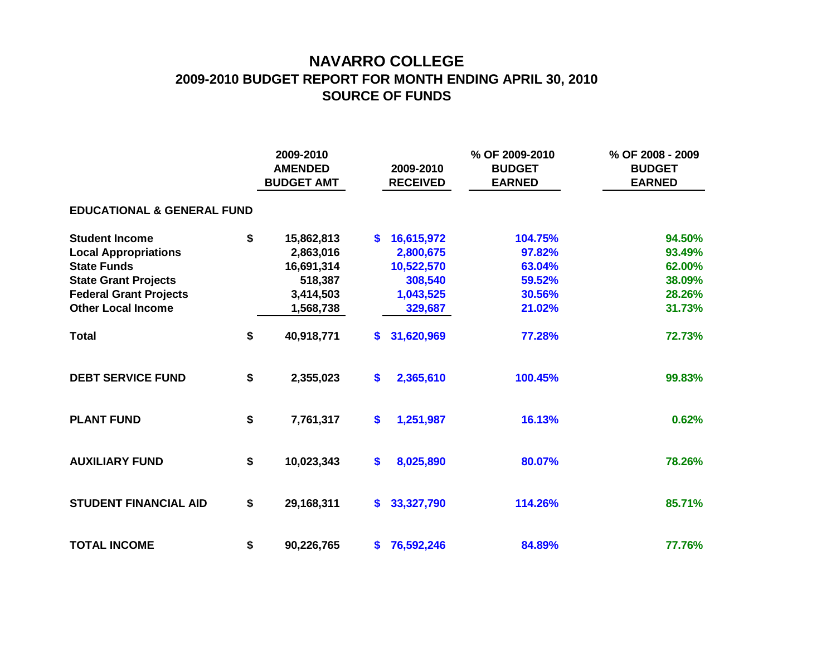## **NAVARRO COLLEGE 2009-2010 BUDGET REPORT FOR MONTH ENDING APRIL 30, 2010 SOURCE OF FUNDS**

|                                       |    | 2009-2010<br><b>AMENDED</b><br><b>BUDGET AMT</b> |                   | 2009-2010<br><b>RECEIVED</b> | % OF 2009-2010<br><b>BUDGET</b><br><b>EARNED</b> | % OF 2008 - 2009<br><b>BUDGET</b><br><b>EARNED</b> |  |  |  |  |  |  |  |
|---------------------------------------|----|--------------------------------------------------|-------------------|------------------------------|--------------------------------------------------|----------------------------------------------------|--|--|--|--|--|--|--|
| <b>EDUCATIONAL &amp; GENERAL FUND</b> |    |                                                  |                   |                              |                                                  |                                                    |  |  |  |  |  |  |  |
| <b>Student Income</b>                 | \$ | 15,862,813                                       | S.                | 16,615,972                   | 104.75%                                          | 94.50%                                             |  |  |  |  |  |  |  |
| <b>Local Appropriations</b>           |    | 2,863,016                                        |                   | 2,800,675                    | 97.82%                                           | 93.49%                                             |  |  |  |  |  |  |  |
| <b>State Funds</b>                    |    | 16,691,314                                       |                   | 10,522,570                   | 63.04%                                           | 62.00%                                             |  |  |  |  |  |  |  |
| <b>State Grant Projects</b>           |    | 518,387                                          |                   | 308,540                      | 59.52%                                           | 38.09%                                             |  |  |  |  |  |  |  |
| <b>Federal Grant Projects</b>         |    | 3,414,503                                        |                   | 1,043,525                    | 30.56%                                           | 28.26%                                             |  |  |  |  |  |  |  |
| <b>Other Local Income</b>             |    | 1,568,738                                        |                   | 329,687                      | 21.02%                                           | 31.73%                                             |  |  |  |  |  |  |  |
| <b>Total</b>                          | \$ | 40,918,771                                       | S.                | 31,620,969                   | 77.28%                                           | 72.73%                                             |  |  |  |  |  |  |  |
| <b>DEBT SERVICE FUND</b>              | \$ | 2,355,023                                        | \$                | 2,365,610                    | 100.45%                                          | 99.83%                                             |  |  |  |  |  |  |  |
| <b>PLANT FUND</b>                     | \$ | 7,761,317                                        | \$                | 1,251,987                    | 16.13%                                           | 0.62%                                              |  |  |  |  |  |  |  |
| <b>AUXILIARY FUND</b>                 | \$ | 10,023,343                                       | $\boldsymbol{\$}$ | 8,025,890                    | 80.07%                                           | 78.26%                                             |  |  |  |  |  |  |  |
| <b>STUDENT FINANCIAL AID</b>          | \$ | 29,168,311                                       | \$.               | 33,327,790                   | 114.26%                                          | 85.71%                                             |  |  |  |  |  |  |  |
| <b>TOTAL INCOME</b>                   | \$ | 90,226,765                                       | \$.               | 76,592,246                   | 84.89%                                           | 77.76%                                             |  |  |  |  |  |  |  |